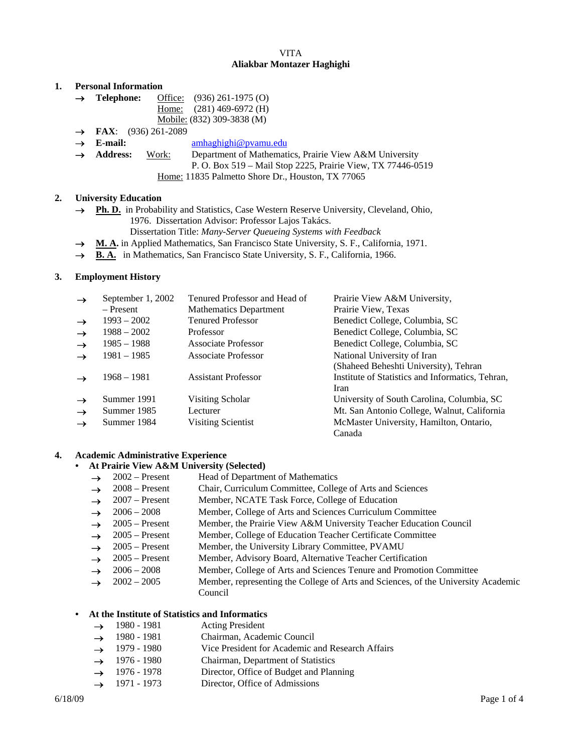# VITA **Aliakbar Montazer Haghighi**

### **1. Personal Information**

- → **Telephone:** Office: (936) 261-1975 (O) Home: (281) 469-6972 (H)
	- Mobile: (832) 309-3838 (M)
- **FAX**: (936) 261-2089
- **E-mail:** amhaghighi@pvamu.edu
- Address: Work: Department of Mathematics, Prairie View A&M University
	- P. O. Box 519 Mail Stop 2225, Prairie View, TX 77446-0519
		- Home: 11835 Palmetto Shore Dr., Houston, TX 77065

### **2. University Education**

- → **Ph. D.** in Probability and Statistics, Case Western Reserve University, Cleveland, Ohio, 1976. Dissertation Advisor: Professor Lajos Takács.
	- Dissertation Title: *Many-Server Queueing Systems with Feedback*
- **M. A.** in Applied Mathematics, San Francisco State University, S. F., California, 1971.
- → **B. A.** in Mathematics, San Francisco State University, S. F., California, 1966.

### **3. Employment History**

| $\rightarrow$ | September 1, 2002 | Tenured Professor and Head of | Prairie View A&M University,                     |
|---------------|-------------------|-------------------------------|--------------------------------------------------|
|               | – Present         | <b>Mathematics Department</b> | Prairie View, Texas                              |
| $\rightarrow$ | $1993 - 2002$     | <b>Tenured Professor</b>      | Benedict College, Columbia, SC                   |
| $\rightarrow$ | $1988 - 2002$     | Professor                     | Benedict College, Columbia, SC                   |
| $\rightarrow$ | $1985 - 1988$     | Associate Professor           | Benedict College, Columbia, SC                   |
| $\rightarrow$ | $1981 - 1985$     | <b>Associate Professor</b>    | National University of Iran                      |
|               |                   |                               | (Shaheed Beheshti University), Tehran            |
|               | $1968 - 1981$     | <b>Assistant Professor</b>    | Institute of Statistics and Informatics, Tehran, |
|               |                   |                               | Iran                                             |
| $\rightarrow$ | Summer 1991       | Visiting Scholar              | University of South Carolina, Columbia, SC       |
| $\rightarrow$ | Summer 1985       | Lecturer                      | Mt. San Antonio College, Walnut, California      |
| $\rightarrow$ | Summer 1984       | Visiting Scientist            | McMaster University, Hamilton, Ontario,          |
|               |                   |                               | Canada                                           |

### **4. Academic Administrative Experience**

#### **• At Prairie View A&M University (Selected)**

- $\rightarrow$  2002 Present Head of Department of Mathematics
- $\rightarrow$  2008 Present Chair, Curriculum Committee, College of Arts and Sciences
- → 2007 Present Member, NCATE Task Force, College of Education
- $\rightarrow$  2006 2008 Member, College of Arts and Sciences Curriculum Committee
- $\rightarrow$  2005 Present Member, the Prairie View A&M University Teacher Education Council
- $\rightarrow$  2005 Present Member, College of Education Teacher Certificate Committee
- $\rightarrow$  2005 Present Member, the University Library Committee, PVAMU
- $\rightarrow$  2005 Present Member, Advisory Board, Alternative Teacher Certification
- 2006 2008 Member, College of Arts and Sciences Tenure and Promotion Committee
- $\rightarrow$  2002 2005 Member, representing the College of Arts and Sciences, of the University Academic Council

### **• At the Institute of Statistics and Informatics**

- $\rightarrow$  1980 1981 Acting President
- → 1980 1981 Chairman, Academic Council
- → 1979 1980 Vice President for Academic and Research Affairs
- $\rightarrow$  1976 1980 Chairman, Department of Statistics
- $\rightarrow$  1976 1978 Director, Office of Budget and Planning
- $\rightarrow$  1971 1973 Director, Office of Admissions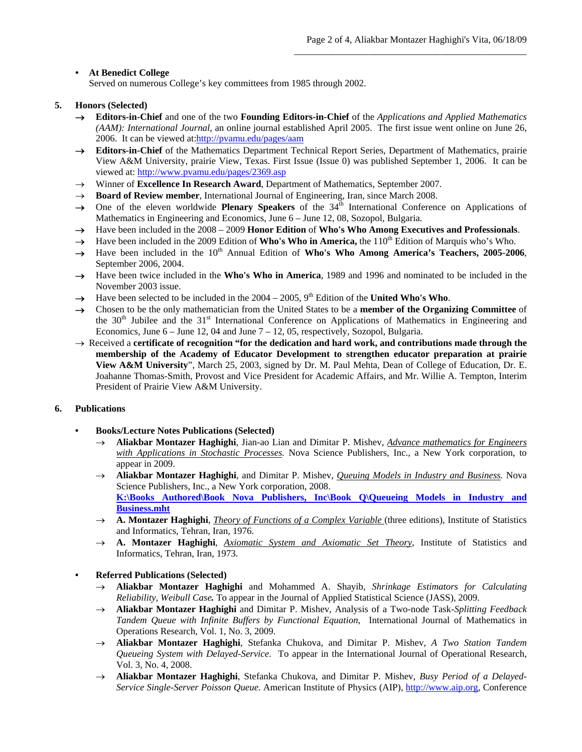# **• At Benedict College**

Served on numerous College's key committees from 1985 through 2002.

# **5. Honors (Selected)**

- **Editors-in-Chief** and one of the two **Founding Editors-in-Chief** of the *Applications and Applied Mathematics (AAM): International Journal*, an online journal established April 2005. The first issue went online on June 26, 2006. It can be viewed at:http://pvamu.edu/pages/aam
- **Editors-in-Chief** of the Mathematics Department Technical Report Series, Department of Mathematics, prairie View A&M University, prairie View, Texas. First Issue (Issue 0) was published September 1, 2006. It can be viewed at: http://www.pvamu.edu/pages/2369.asp
- → Winner of **Excellence In Research Award**, Department of Mathematics, September 2007.
- $\rightarrow$  **Board of Review member**, International Journal of Engineering, Iran, since March 2008.
- $\rightarrow$  One of the eleven worldwide **Plenary Speakers** of the 34<sup>th</sup> International Conference on Applications of Mathematics in Engineering and Economics, June 6 – June 12, 08, Sozopol, Bulgaria.
- Have been included in the 2008 2009 **Honor Edition** of **Who's Who Among Executives and Professionals**.
- Have been included in the 2009 Edition of **Who's Who in America,** the 110<sup>th</sup> Edition of Marquis who's Who.
- $\rightarrow$  Have been included in the 10<sup>th</sup> Annual Edition of **Who's Who Among America's Teachers, 2005-2006**. September 2006, 2004.
- $\rightarrow$  Have been twice included in the **Who's Who in America**, 1989 and 1996 and nominated to be included in the November 2003 issue.
- $\rightarrow$  Have been selected to be included in the 2004 2005, 9<sup>th</sup> Edition of the **United Who's Who**.
- Chosen to be the only mathematician from the United States to be a **member of the Organizing Committee** of the  $30<sup>th</sup>$  Jubilee and the  $31<sup>st</sup>$  International Conference on Applications of Mathematics in Engineering and Economics, June  $6 -$  June 12, 04 and June  $7 - 12$ , 05, respectively, Sozopol, Bulgaria.
- $\rightarrow$  Received a **certificate of recognition** "for the dedication and hard work, and contributions made through the **membership of the Academy of Educator Development to strengthen educator preparation at prairie View A&M University**", March 25, 2003, signed by Dr. M. Paul Mehta, Dean of College of Education, Dr. E. Joahanne Thomas-Smith, Provost and Vice President for Academic Affairs, and Mr. Willie A. Tempton, Interim President of Prairie View A&M University.

## **6. Publications**

- **Books/Lecture Notes Publications (Selected)**
	- **Aliakbar Montazer Haghighi**, Jian-ao Lian and Dimitar P. Mishev, *Advance mathematics for Engineers with Applications in Stochastic Processes.* Nova Science Publishers, Inc., a New York corporation, to appear in 2009.
	- **Aliakbar Montazer Haghighi**, and Dimitar P. Mishev, *Queuing Models in Industry and Business.* Nova Science Publishers, Inc., a New York corporation, 2008. **K:\Books Authored\Book Nova Publishers, Inc\Book Q\Queueing Models in Industry and Business.mht**
	- → **A. Montazer Haghighi**, *Theory of Functions of a Complex Variable* (three editions), Institute of Statistics and Informatics, Tehran, Iran, 1976.
	- **A. Montazer Haghighi**, *Axiomatic System and Axiomatic Set Theory*, Institute of Statistics and Informatics, Tehran, Iran, 1973.
- **Referred Publications (Selected)** 
	- **Aliakbar Montazer Haghighi** and Mohammed A. Shayib, *Shrinkage Estimators for Calculating Reliability, Weibull Case.* To appear in the Journal of Applied Statistical Science (JASS), 2009.
	- **Aliakbar Montazer Haghighi** and Dimitar P. Mishev, Analysis of a Two-node Task-*Splitting Feedback Tandem Queue with Infinite Buffers by Functional Equation*, International Journal of Mathematics in Operations Research, Vol. 1, No. 3, 2009.
	- **Aliakbar Montazer Haghighi**, Stefanka Chukova, and Dimitar P. Mishev, *A Two Station Tandem Queueing System with Delayed-Service*. To appear in the International Journal of Operational Research, Vol. 3, No. 4, 2008.
	- **Aliakbar Montazer Haghighi**, Stefanka Chukova, and Dimitar P. Mishev, *Busy Period of a Delayed-Service Single-Server Poisson Queue*. American Institute of Physics (AIP), http://www.aip.org, Conference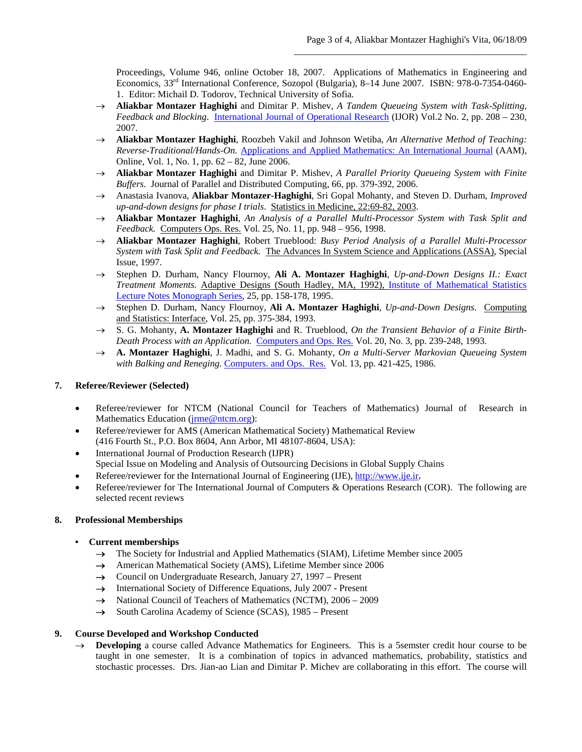Proceedings, Volume 946, online October 18, 2007. Applications of Mathematics in Engineering and Economics, 33rd International Conference, Sozopol (Bulgaria), 8–14 June 2007. ISBN: 978-0-7354-0460- 1. Editor: Michail D. Todorov, Technical University of Sofia.

- **Aliakbar Montazer Haghighi** and Dimitar P. Mishev, *A Tandem Queueing System with Task-Splitting, Feedback and Blocking*. International Journal of Operational Research (IJOR) Vol.2 No. 2, pp. 208 – 230, 2007.
- **Aliakbar Montazer Haghighi**, Roozbeh Vakil and Johnson Wetiba, *An Alternative Method of Teaching: Reverse-Traditional/Hands-On.* Applications and Applied Mathematics: An International Journal (AAM), Online, Vol. 1, No. 1, pp. 62 – 82, June 2006.
- **Aliakbar Montazer Haghighi** and Dimitar P. Mishev, *A Parallel Priority Queueing System with Finite Buffers*. Journal of Parallel and Distributed Computing, 66, pp. 379-392, 2006.
- Anastasia Ivanova, **Aliakbar Montazer-Haghighi**, Sri Gopal Mohanty, and Steven D. Durham, *Improved up-and-down designs for phase I trials*. Statistics in Medicine, 22:69-82, 2003.
- **Aliakbar Montazer Haghighi**, *An Analysis of a Parallel Multi-Processor System with Task Split and Feedback.* Computers Ops. Res. Vol. 25, No. 11, pp. 948 – 956, 1998.
- **Aliakbar Montazer Haghighi**, Robert Trueblood: *Busy Period Analysis of a Parallel Multi-Processor System with Task Split and Feedback.* The Advances In System Science and Applications (ASSA), Special Issue, 1997.
- Stephen D. Durham, Nancy Flournoy, **Ali A. Montazer Haghighi**, *Up-and-Down Designs II.: Exact Treatment Moments.* Adaptive Designs (South Hadley, MA, 1992), Institute of Mathematical Statistics Lecture Notes Monograph Series, 25, pp. 158-178, 1995.
- Stephen D. Durham, Nancy Flournoy, **Ali A. Montazer Haghighi**, *Up-and-Down Designs.* Computing and Statistics: Interface, Vol. 25, pp. 375-384, 1993.
- S. G. Mohanty, **A. Montazer Haghighi** and R. Trueblood, *On the Transient Behavior of a Finite Birth-Death Process with an Application.* Computers and Ops. Res. Vol. 20, No. 3, pp. 239-248, 1993.
- **A. Montazer Haghighi**, J. Madhi, and S. G. Mohanty, *On a Multi-Server Markovian Queueing System with Balking and Reneging.* Computers. and Ops. Res. Vol. 13, pp. 421-425, 1986.

## **7. Referee/Reviewer (Selected)**

- Referee/reviewer for NTCM (National Council for Teachers of Mathematics) Journal of Research in Mathematics Education ( $\{$ <sub>irme</sub>@ntcm.org):
- Referee/reviewer for AMS (American Mathematical Society) Mathematical Review (416 Fourth St., P.O. Box 8604, Ann Arbor, MI 48107-8604, USA):
- International Journal of Production Research (IJPR) Special Issue on Modeling and Analysis of Outsourcing Decisions in Global Supply Chains
- Referee/reviewer for the International Journal of Engineering (IJE), http://www.ije.ir,
- Referee/reviewer for The International Journal of Computers & Operations Research (COR). The following are selected recent reviews

## **8. Professional Memberships**

- **Current memberships** 
	- $\rightarrow$  The Society for Industrial and Applied Mathematics (SIAM), Lifetime Member since 2005
	- → American Mathematical Society (AMS), Lifetime Member since 2006
	- $\rightarrow$  Council on Undergraduate Research, January 27, 1997 Present
	- $\rightarrow$  International Society of Difference Equations, July 2007 Present
	- $\rightarrow$  National Council of Teachers of Mathematics (NCTM), 2006 2009
	- $\rightarrow$  South Carolina Academy of Science (SCAS), 1985 Present

## **9. Course Developed and Workshop Conducted**

 $\rightarrow$  **Developing** a course called Advance Mathematics for Engineers. This is a 5semster credit hour course to be taught in one semester. It is a combination of topics in advanced mathematics, probability, statistics and stochastic processes. Drs. Jian-ao Lian and Dimitar P. Michev are collaborating in this effort. The course will